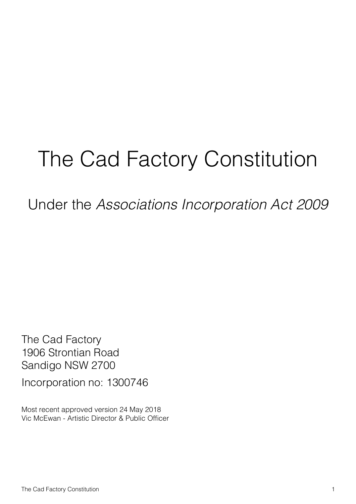# The Cad Factory Constitution

Under the *Associations Incorporation Act 2009*

The Cad Factory 1906 Strontian Road Sandigo NSW 2700

Incorporation no: 1300746

Most recent approved version 24 May 2018 Vic McEwan - Artistic Director & Public Officer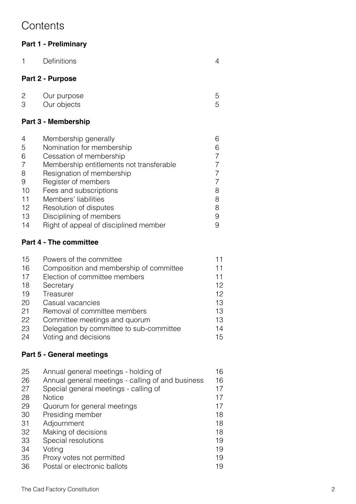## **Contents**

#### **Part 1 - Preliminary**

| 1                   | Definitions                              | 4      |  |  |
|---------------------|------------------------------------------|--------|--|--|
| Part 2 - Purpose    |                                          |        |  |  |
| 2<br>3              | Our purpose<br>Our objects               | 5<br>5 |  |  |
| Part 3 - Membership |                                          |        |  |  |
| 4                   | Membership generally                     | 6      |  |  |
| 5                   | Nomination for membership                | 6      |  |  |
| 6                   | Cessation of membership                  | 7      |  |  |
| 7                   | Membership entitlements not transferable | 7      |  |  |
| 8                   | Resignation of membership                | 7      |  |  |
| 9                   | Register of members                      | 7      |  |  |
| 10                  | Fees and subscriptions                   | 8      |  |  |
| 11                  | Members' liabilities                     | 8      |  |  |
| 12                  | Resolution of disputes                   | 8      |  |  |
| 13                  | Disciplining of members                  | 9      |  |  |
| 14                  | Right of appeal of disciplined member    | 9      |  |  |

#### **Part 4 - The committee**

| 15 | Powers of the committee                  |    |
|----|------------------------------------------|----|
| 16 | Composition and membership of committee  | 11 |
| 17 | Election of committee members            | 11 |
| 18 | Secretary                                | 12 |
| 19 | Treasurer                                | 12 |
| 20 | Casual vacancies                         | 13 |
| 21 | Removal of committee members             | 13 |
| 22 | Committee meetings and quorum            | 13 |
| 23 | Delegation by committee to sub-committee | 14 |
| 24 | Voting and decisions                     | 15 |

### **Part 5 - General meetings**

| 25 | Annual general meetings - holding of              | 16 |
|----|---------------------------------------------------|----|
| 26 | Annual general meetings - calling of and business | 16 |
| 27 | Special general meetings - calling of             | 17 |
| 28 | <b>Notice</b>                                     | 17 |
| 29 | Quorum for general meetings                       | 17 |
| 30 | Presiding member                                  | 18 |
| 31 | Adjournment                                       | 18 |
| 32 | Making of decisions                               | 18 |
| 33 | Special resolutions                               | 19 |
| 34 | Voting                                            | 19 |
| 35 | Proxy votes not permitted                         | 19 |
| 36 | Postal or electronic ballots                      | 19 |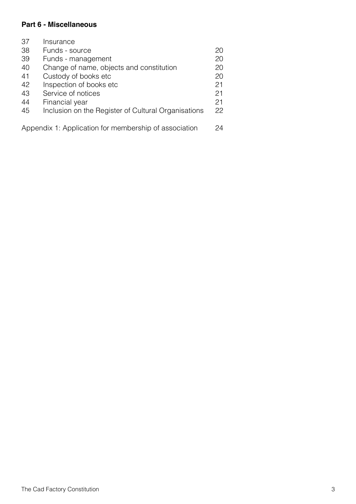#### **Part 6 - Miscellaneous**

| 37                                                    | Insurance                                           |    |
|-------------------------------------------------------|-----------------------------------------------------|----|
| 38                                                    | Funds - source                                      | 20 |
| 39                                                    | Funds - management                                  | 20 |
| 40                                                    | Change of name, objects and constitution            | 20 |
| 41                                                    | Custody of books etc                                | 20 |
| 42                                                    | Inspection of books etc                             | 21 |
| 43                                                    | Service of notices                                  | 21 |
| 44                                                    | Financial year                                      | 21 |
| 45                                                    | Inclusion on the Register of Cultural Organisations | 22 |
|                                                       |                                                     |    |
| Appendix 1: Application for membership of association |                                                     | 24 |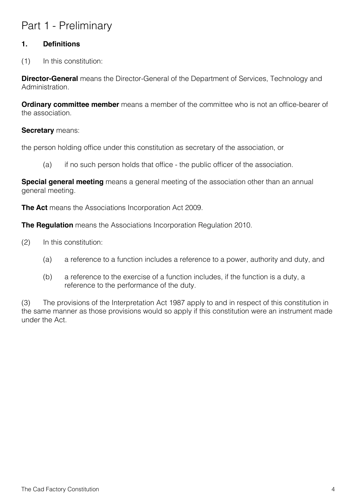# Part 1 - Preliminary

#### **1. Definitions**

(1) In this constitution:

**Director-General** means the Director-General of the Department of Services, Technology and Administration.

**Ordinary committee member** means a member of the committee who is not an office-bearer of the association.

#### **Secretary** means:

the person holding office under this constitution as secretary of the association, or

(a) if no such person holds that office - the public officer of the association.

**Special general meeting** means a general meeting of the association other than an annual general meeting.

**The Act** means the Associations Incorporation Act 2009.

**The Regulation** means the Associations Incorporation Regulation 2010.

- (2) In this constitution:
	- (a) a reference to a function includes a reference to a power, authority and duty, and
	- (b) a reference to the exercise of a function includes, if the function is a duty, a reference to the performance of the duty.

(3) The provisions of the Interpretation Act 1987 apply to and in respect of this constitution in the same manner as those provisions would so apply if this constitution were an instrument made under the Act.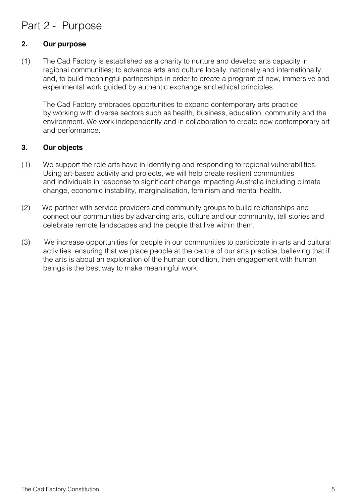## Part 2 - Purpose

#### **2. Our purpose**

(1) The Cad Factory is established as a charity to nurture and develop arts capacity in regional communities; to advance arts and culture locally, nationally and internationally; and, to build meaningful partnerships in order to create a program of new, immersive and experimental work guided by authentic exchange and ethical principles.

The Cad Factory embraces opportunities to expand contemporary arts practice by working with diverse sectors such as health, business, education, community and the environment. We work independently and in collaboration to create new contemporary art and performance.

#### **3. Our objects**

- (1) We support the role arts have in identifying and responding to regional vulnerabilities. Using art-based activity and projects, we will help create resilient communities and individuals in response to significant change impacting Australia including climate change, economic instability, marginalisation, feminism and mental health.
- (2) We partner with service providers and community groups to build relationships and connect our communities by advancing arts, culture and our community, tell stories and celebrate remote landscapes and the people that live within them.
- (3) We increase opportunities for people in our communities to participate in arts and cultural activities, ensuring that we place people at the centre of our arts practice, believing that if the arts is about an exploration of the human condition, then engagement with human beings is the best way to make meaningful work.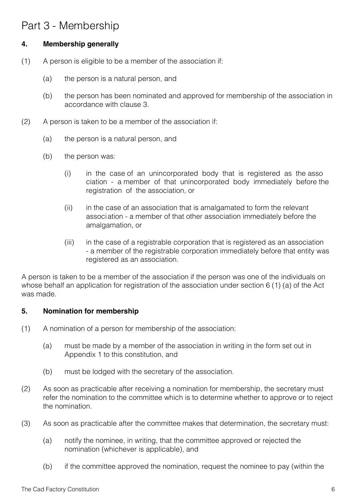## Part 3 - Membership

#### **4. Membership generally**

- (1) A person is eligible to be a member of the association if:
	- (a) the person is a natural person, and
	- (b) the person has been nominated and approved for membership of the association in accordance with clause 3.
- (2) A person is taken to be a member of the association if:
	- (a) the person is a natural person, and
	- (b) the person was:
		- (i) in the case of an unincorporated body that is registered as the asso ciation - a member of that unincorporated body immediately before the registration of the association, or
		- (ii) in the case of an association that is amalgamated to form the relevant association - a member of that other association immediately before the amalgamation, or
		- (iii) in the case of a registrable corporation that is registered as an association - a member of the registrable corporation immediately before that entity was registered as an association.

A person is taken to be a member of the association if the person was one of the individuals on whose behalf an application for registration of the association under section 6 (1) (a) of the Act was made.

#### **5. Nomination for membership**

- (1) A nomination of a person for membership of the association:
	- (a) must be made by a member of the association in writing in the form set out in Appendix 1 to this constitution, and
	- (b) must be lodged with the secretary of the association.
- (2) As soon as practicable after receiving a nomination for membership, the secretary must refer the nomination to the committee which is to determine whether to approve or to reject the nomination.
- (3) As soon as practicable after the committee makes that determination, the secretary must:
	- (a) notify the nominee, in writing, that the committee approved or rejected the nomination (whichever is applicable), and
	- (b) if the committee approved the nomination, request the nominee to pay (within the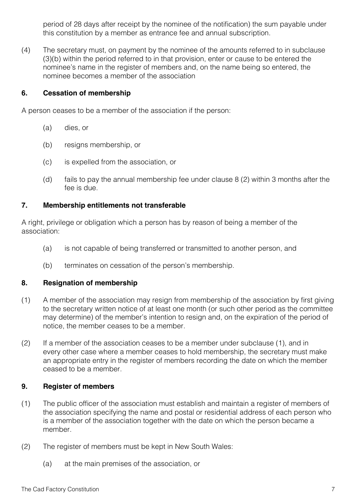period of 28 days after receipt by the nominee of the notification) the sum payable under this constitution by a member as entrance fee and annual subscription.

(4) The secretary must, on payment by the nominee of the amounts referred to in subclause (3)(b) within the period referred to in that provision, enter or cause to be entered the nominee's name in the register of members and, on the name being so entered, the nominee becomes a member of the association

#### **6. Cessation of membership**

A person ceases to be a member of the association if the person:

- (a) dies, or
- (b) resigns membership, or
- (c) is expelled from the association, or
- (d) fails to pay the annual membership fee under clause 8 (2) within 3 months after the fee is due.

#### **7. Membership entitlements not transferable**

A right, privilege or obligation which a person has by reason of being a member of the association:

- (a) is not capable of being transferred or transmitted to another person, and
- (b) terminates on cessation of the person's membership.

#### **8. Resignation of membership**

- (1) A member of the association may resign from membership of the association by first giving to the secretary written notice of at least one month (or such other period as the committee may determine) of the member's intention to resign and, on the expiration of the period of notice, the member ceases to be a member.
- (2) If a member of the association ceases to be a member under subclause (1), and in every other case where a member ceases to hold membership, the secretary must make an appropriate entry in the register of members recording the date on which the member ceased to be a member.

#### **9. Register of members**

- (1) The public officer of the association must establish and maintain a register of members of the association specifying the name and postal or residential address of each person who is a member of the association together with the date on which the person became a member.
- (2) The register of members must be kept in New South Wales:
	- (a) at the main premises of the association, or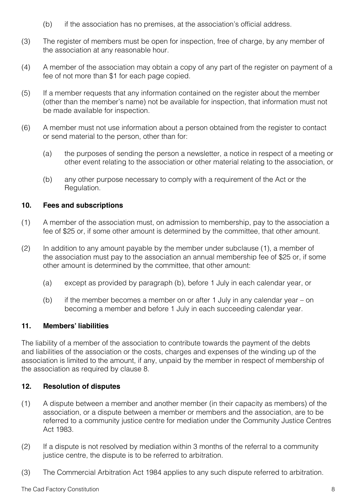- (b) if the association has no premises, at the association's official address.
- (3) The register of members must be open for inspection, free of charge, by any member of the association at any reasonable hour.
- (4) A member of the association may obtain a copy of any part of the register on payment of a fee of not more than \$1 for each page copied.
- (5) If a member requests that any information contained on the register about the member (other than the member's name) not be available for inspection, that information must not be made available for inspection.
- (6) A member must not use information about a person obtained from the register to contact or send material to the person, other than for:
	- (a) the purposes of sending the person a newsletter, a notice in respect of a meeting or other event relating to the association or other material relating to the association, or
	- (b) any other purpose necessary to comply with a requirement of the Act or the Regulation.

#### **10. Fees and subscriptions**

- (1) A member of the association must, on admission to membership, pay to the association a fee of \$25 or, if some other amount is determined by the committee, that other amount.
- (2) In addition to any amount payable by the member under subclause (1), a member of the association must pay to the association an annual membership fee of \$25 or, if some other amount is determined by the committee, that other amount:
	- (a) except as provided by paragraph (b), before 1 July in each calendar year, or
	- (b) if the member becomes a member on or after 1 July in any calendar year on becoming a member and before 1 July in each succeeding calendar year.

#### **11. Members' liabilities**

The liability of a member of the association to contribute towards the payment of the debts and liabilities of the association or the costs, charges and expenses of the winding up of the association is limited to the amount, if any, unpaid by the member in respect of membership of the association as required by clause 8.

#### **12. Resolution of disputes**

- (1) A dispute between a member and another member (in their capacity as members) of the association, or a dispute between a member or members and the association, are to be referred to a community justice centre for mediation under the Community Justice Centres Act 1983.
- (2) If a dispute is not resolved by mediation within 3 months of the referral to a community justice centre, the dispute is to be referred to arbitration.
- (3) The Commercial Arbitration Act 1984 applies to any such dispute referred to arbitration.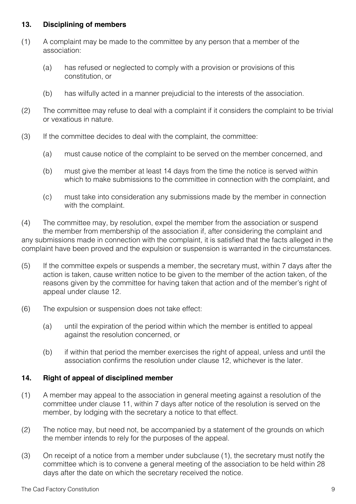#### **13. Disciplining of members**

- (1) A complaint may be made to the committee by any person that a member of the association:
	- (a) has refused or neglected to comply with a provision or provisions of this constitution, or
	- (b) has wilfully acted in a manner prejudicial to the interests of the association.
- (2) The committee may refuse to deal with a complaint if it considers the complaint to be trivial or vexatious in nature.
- (3) If the committee decides to deal with the complaint, the committee:
	- (a) must cause notice of the complaint to be served on the member concerned, and
	- (b) must give the member at least 14 days from the time the notice is served within which to make submissions to the committee in connection with the complaint, and
	- (c) must take into consideration any submissions made by the member in connection with the complaint.

(4) The committee may, by resolution, expel the member from the association or suspend the member from membership of the association if, after considering the complaint and any submissions made in connection with the complaint, it is satisfied that the facts alleged in the complaint have been proved and the expulsion or suspension is warranted in the circumstances.

- (5) If the committee expels or suspends a member, the secretary must, within 7 days after the action is taken, cause written notice to be given to the member of the action taken, of the reasons given by the committee for having taken that action and of the member's right of appeal under clause 12.
- (6) The expulsion or suspension does not take effect:
	- (a) until the expiration of the period within which the member is entitled to appeal against the resolution concerned, or
	- (b) if within that period the member exercises the right of appeal, unless and until the association confirms the resolution under clause 12, whichever is the later.

#### **14. Right of appeal of disciplined member**

- (1) A member may appeal to the association in general meeting against a resolution of the committee under clause 11, within 7 days after notice of the resolution is served on the member, by lodging with the secretary a notice to that effect.
- (2) The notice may, but need not, be accompanied by a statement of the grounds on which the member intends to rely for the purposes of the appeal.
- (3) On receipt of a notice from a member under subclause (1), the secretary must notify the committee which is to convene a general meeting of the association to be held within 28 days after the date on which the secretary received the notice.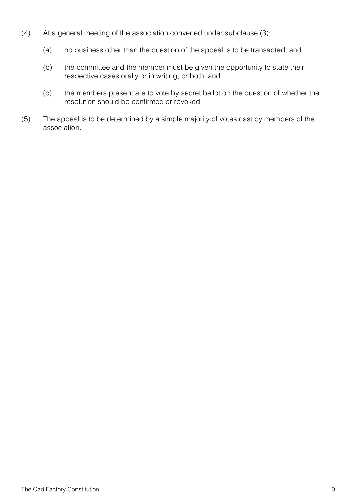- (4) At a general meeting of the association convened under subclause (3):
	- (a) no business other than the question of the appeal is to be transacted, and
	- (b) the committee and the member must be given the opportunity to state their respective cases orally or in writing, or both, and
	- (c) the members present are to vote by secret ballot on the question of whether the resolution should be confirmed or revoked.
- (5) The appeal is to be determined by a simple majority of votes cast by members of the association.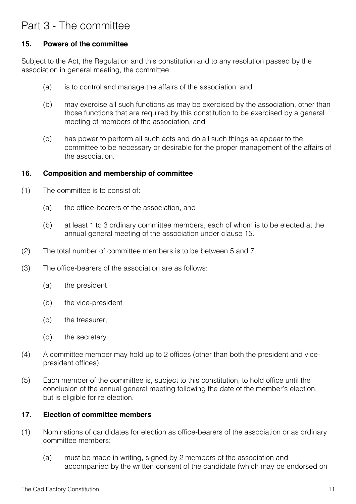## Part 3 - The committee

#### **15. Powers of the committee**

Subject to the Act, the Regulation and this constitution and to any resolution passed by the association in general meeting, the committee:

- (a) is to control and manage the affairs of the association, and
- (b) may exercise all such functions as may be exercised by the association, other than those functions that are required by this constitution to be exercised by a general meeting of members of the association, and
- (c) has power to perform all such acts and do all such things as appear to the committee to be necessary or desirable for the proper management of the affairs of the association.

#### **16. Composition and membership of committee**

- (1) The committee is to consist of:
	- (a) the office-bearers of the association, and
	- (b) at least 1 to 3 ordinary committee members, each of whom is to be elected at the annual general meeting of the association under clause 15.
- (2) The total number of committee members is to be between 5 and 7.
- (3) The office-bearers of the association are as follows:
	- (a) the president
	- (b) the vice-president
	- (c) the treasurer,
	- (d) the secretary.
- (4) A committee member may hold up to 2 offices (other than both the president and vicepresident offices).
- (5) Each member of the committee is, subject to this constitution, to hold office until the conclusion of the annual general meeting following the date of the member's election, but is eligible for re-election.

#### **17. Election of committee members**

- (1) Nominations of candidates for election as office-bearers of the association or as ordinary committee members:
	- (a) must be made in writing, signed by 2 members of the association and accompanied by the written consent of the candidate (which may be endorsed on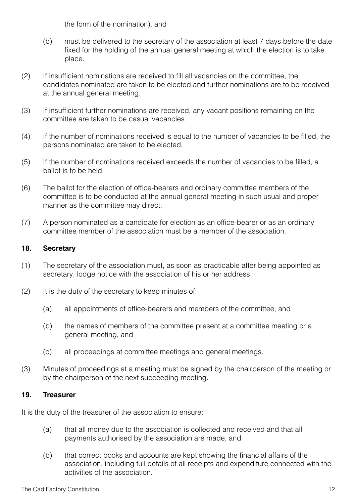the form of the nomination), and

- (b) must be delivered to the secretary of the association at least 7 days before the date fixed for the holding of the annual general meeting at which the election is to take place.
- (2) If insufficient nominations are received to fill all vacancies on the committee, the candidates nominated are taken to be elected and further nominations are to be received at the annual general meeting.
- (3) If insufficient further nominations are received, any vacant positions remaining on the committee are taken to be casual vacancies.
- (4) If the number of nominations received is equal to the number of vacancies to be filled, the persons nominated are taken to be elected.
- (5) If the number of nominations received exceeds the number of vacancies to be filled, a ballot is to be held.
- (6) The ballot for the election of office-bearers and ordinary committee members of the committee is to be conducted at the annual general meeting in such usual and proper manner as the committee may direct.
- (7) A person nominated as a candidate for election as an office-bearer or as an ordinary committee member of the association must be a member of the association.

#### **18. Secretary**

- (1) The secretary of the association must, as soon as practicable after being appointed as secretary, lodge notice with the association of his or her address.
- (2) It is the duty of the secretary to keep minutes of:
	- (a) all appointments of office-bearers and members of the committee, and
	- (b) the names of members of the committee present at a committee meeting or a general meeting, and
	- (c) all proceedings at committee meetings and general meetings.
- (3) Minutes of proceedings at a meeting must be signed by the chairperson of the meeting or by the chairperson of the next succeeding meeting.

#### **19. Treasurer**

It is the duty of the treasurer of the association to ensure:

- (a) that all money due to the association is collected and received and that all payments authorised by the association are made, and
- (b) that correct books and accounts are kept showing the financial affairs of the association, including full details of all receipts and expenditure connected with the activities of the association.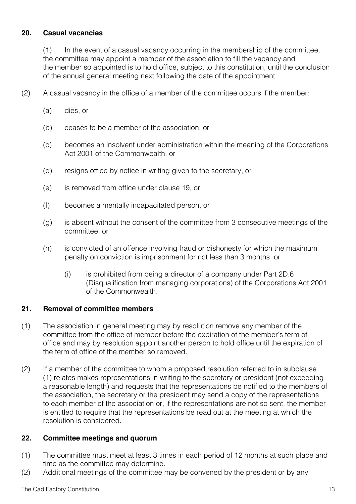#### **20. Casual vacancies**

(1) In the event of a casual vacancy occurring in the membership of the committee, the committee may appoint a member of the association to fill the vacancy and the member so appointed is to hold office, subject to this constitution, until the conclusion of the annual general meeting next following the date of the appointment.

- (2) A casual vacancy in the office of a member of the committee occurs if the member:
	- (a) dies, or
	- (b) ceases to be a member of the association, or
	- (c) becomes an insolvent under administration within the meaning of the Corporations Act 2001 of the Commonwealth, or
	- (d) resigns office by notice in writing given to the secretary, or
	- (e) is removed from office under clause 19, or
	- (f) becomes a mentally incapacitated person, or
	- (g) is absent without the consent of the committee from 3 consecutive meetings of the committee, or
	- (h) is convicted of an offence involving fraud or dishonesty for which the maximum penalty on conviction is imprisonment for not less than 3 months, or
		- (i) is prohibited from being a director of a company under Part 2D.6 (Disqualification from managing corporations) of the Corporations Act 2001 of the Commonwealth.

#### **21. Removal of committee members**

- (1) The association in general meeting may by resolution remove any member of the committee from the office of member before the expiration of the member's term of office and may by resolution appoint another person to hold office until the expiration of the term of office of the member so removed.
- (2) If a member of the committee to whom a proposed resolution referred to in subclause (1) relates makes representations in writing to the secretary or president (not exceeding a reasonable length) and requests that the representations be notified to the members of the association, the secretary or the president may send a copy of the representations to each member of the association or, if the representations are not so sent, the member is entitled to require that the representations be read out at the meeting at which the resolution is considered.

#### **22. Committee meetings and quorum**

- (1) The committee must meet at least 3 times in each period of 12 months at such place and time as the committee may determine.
- (2) Additional meetings of the committee may be convened by the president or by any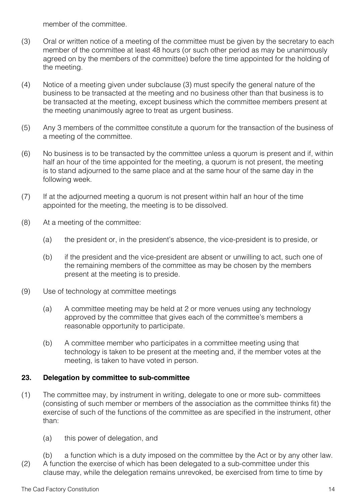member of the committee.

- (3) Oral or written notice of a meeting of the committee must be given by the secretary to each member of the committee at least 48 hours (or such other period as may be unanimously agreed on by the members of the committee) before the time appointed for the holding of the meeting.
- (4) Notice of a meeting given under subclause (3) must specify the general nature of the business to be transacted at the meeting and no business other than that business is to be transacted at the meeting, except business which the committee members present at the meeting unanimously agree to treat as urgent business.
- (5) Any 3 members of the committee constitute a quorum for the transaction of the business of a meeting of the committee.
- (6) No business is to be transacted by the committee unless a quorum is present and if, within half an hour of the time appointed for the meeting, a quorum is not present, the meeting is to stand adjourned to the same place and at the same hour of the same day in the following week.
- (7) If at the adjourned meeting a quorum is not present within half an hour of the time appointed for the meeting, the meeting is to be dissolved.
- (8) At a meeting of the committee:
	- (a) the president or, in the president's absence, the vice-president is to preside, or
	- (b) if the president and the vice-president are absent or unwilling to act, such one of the remaining members of the committee as may be chosen by the members present at the meeting is to preside.
- (9) Use of technology at committee meetings
	- (a) A committee meeting may be held at 2 or more venues using any technology approved by the committee that gives each of the committee's members a reasonable opportunity to participate.
	- (b) A committee member who participates in a committee meeting using that technology is taken to be present at the meeting and, if the member votes at the meeting, is taken to have voted in person.

#### **23. Delegation by committee to sub-committee**

- (1) The committee may, by instrument in writing, delegate to one or more sub- committees (consisting of such member or members of the association as the committee thinks fit) the exercise of such of the functions of the committee as are specified in the instrument, other than:
	- (a) this power of delegation, and
- (b) a function which is a duty imposed on the committee by the Act or by any other law. (2) A function the exercise of which has been delegated to a sub-committee under this clause may, while the delegation remains unrevoked, be exercised from time to time by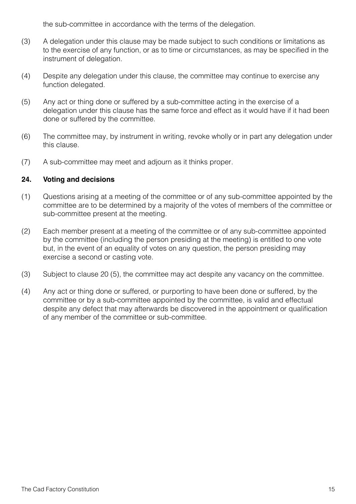the sub-committee in accordance with the terms of the delegation.

- (3) A delegation under this clause may be made subject to such conditions or limitations as to the exercise of any function, or as to time or circumstances, as may be specified in the instrument of delegation.
- (4) Despite any delegation under this clause, the committee may continue to exercise any function delegated.
- (5) Any act or thing done or suffered by a sub-committee acting in the exercise of a delegation under this clause has the same force and effect as it would have if it had been done or suffered by the committee.
- (6) The committee may, by instrument in writing, revoke wholly or in part any delegation under this clause.
- (7) A sub-committee may meet and adjourn as it thinks proper.

#### **24. Voting and decisions**

- (1) Questions arising at a meeting of the committee or of any sub-committee appointed by the committee are to be determined by a majority of the votes of members of the committee or sub-committee present at the meeting.
- (2) Each member present at a meeting of the committee or of any sub-committee appointed by the committee (including the person presiding at the meeting) is entitled to one vote but, in the event of an equality of votes on any question, the person presiding may exercise a second or casting vote.
- (3) Subject to clause 20 (5), the committee may act despite any vacancy on the committee.
- (4) Any act or thing done or suffered, or purporting to have been done or suffered, by the committee or by a sub-committee appointed by the committee, is valid and effectual despite any defect that may afterwards be discovered in the appointment or qualification of any member of the committee or sub-committee.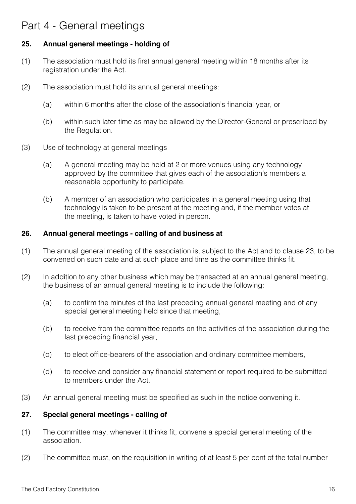## Part 4 - General meetings

#### **25. Annual general meetings - holding of**

- (1) The association must hold its first annual general meeting within 18 months after its registration under the Act.
- (2) The association must hold its annual general meetings:
	- (a) within 6 months after the close of the association's financial year, or
	- (b) within such later time as may be allowed by the Director-General or prescribed by the Regulation.
- (3) Use of technology at general meetings
	- (a) A general meeting may be held at 2 or more venues using any technology approved by the committee that gives each of the association's members a reasonable opportunity to participate.
	- (b) A member of an association who participates in a general meeting using that technology is taken to be present at the meeting and, if the member votes at the meeting, is taken to have voted in person.

#### **26. Annual general meetings - calling of and business at**

- (1) The annual general meeting of the association is, subject to the Act and to clause 23, to be convened on such date and at such place and time as the committee thinks fit.
- (2) In addition to any other business which may be transacted at an annual general meeting, the business of an annual general meeting is to include the following:
	- (a) to confirm the minutes of the last preceding annual general meeting and of any special general meeting held since that meeting,
	- (b) to receive from the committee reports on the activities of the association during the last preceding financial year,
	- (c) to elect office-bearers of the association and ordinary committee members,
	- (d) to receive and consider any financial statement or report required to be submitted to members under the Act.
- (3) An annual general meeting must be specified as such in the notice convening it.

#### **27. Special general meetings - calling of**

- (1) The committee may, whenever it thinks fit, convene a special general meeting of the association.
- (2) The committee must, on the requisition in writing of at least 5 per cent of the total number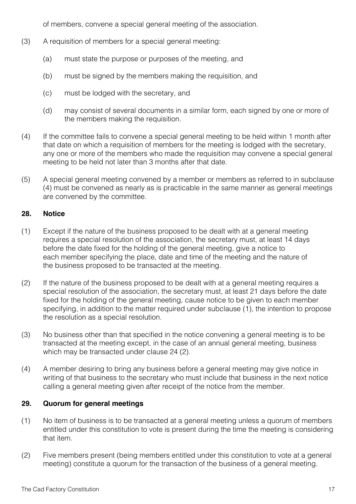of members, convene a special general meeting of the association.

- (3) A requisition of members for a special general meeting:
	- (a) must state the purpose or purposes of the meeting, and
	- (b) must be signed by the members making the requisition, and
	- (c) must be lodged with the secretary, and
	- (d) may consist of several documents in a similar form, each signed by one or more of the members making the requisition.
- (4) If the committee fails to convene a special general meeting to be held within 1 month after that date on which a requisition of members for the meeting is lodged with the secretary, any one or more of the members who made the requisition may convene a special general meeting to be held not later than 3 months after that date.
- (5) A special general meeting convened by a member or members as referred to in subclause (4) must be convened as nearly as is practicable in the same manner as general meetings are convened by the committee.

#### **28. Notice**

- (1) Except if the nature of the business proposed to be dealt with at a general meeting requires a special resolution of the association, the secretary must, at least 14 days before the date fixed for the holding of the general meeting, give a notice to each member specifying the place, date and time of the meeting and the nature of the business proposed to be transacted at the meeting.
- (2) If the nature of the business proposed to be dealt with at a general meeting requires a special resolution of the association, the secretary must, at least 21 days before the date fixed for the holding of the general meeting, cause notice to be given to each member specifying, in addition to the matter required under subclause (1), the intention to propose the resolution as a special resolution.
- (3) No business other than that specified in the notice convening a general meeting is to be transacted at the meeting except, in the case of an annual general meeting, business which may be transacted under clause 24 (2).
- (4) A member desiring to bring any business before a general meeting may give notice in writing of that business to the secretary who must include that business in the next notice calling a general meeting given after receipt of the notice from the member.

#### **29. Quorum for general meetings**

- (1) No item of business is to be transacted at a general meeting unless a quorum of members entitled under this constitution to vote is present during the time the meeting is considering that item.
- (2) Five members present (being members entitled under this constitution to vote at a general meeting) constitute a quorum for the transaction of the business of a general meeting.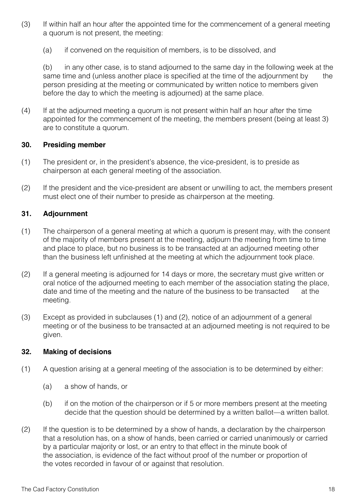- (3) If within half an hour after the appointed time for the commencement of a general meeting a quorum is not present, the meeting:
	- (a) if convened on the requisition of members, is to be dissolved, and

(b) in any other case, is to stand adjourned to the same day in the following week at the same time and (unless another place is specified at the time of the adjournment by the person presiding at the meeting or communicated by written notice to members given before the day to which the meeting is adjourned) at the same place.

(4) If at the adjourned meeting a quorum is not present within half an hour after the time appointed for the commencement of the meeting, the members present (being at least 3) are to constitute a quorum.

#### **30. Presiding member**

- (1) The president or, in the president's absence, the vice-president, is to preside as chairperson at each general meeting of the association.
- (2) If the president and the vice-president are absent or unwilling to act, the members present must elect one of their number to preside as chairperson at the meeting.

#### **31. Adjournment**

- (1) The chairperson of a general meeting at which a quorum is present may, with the consent of the majority of members present at the meeting, adjourn the meeting from time to time and place to place, but no business is to be transacted at an adjourned meeting other than the business left unfinished at the meeting at which the adjournment took place.
- (2) If a general meeting is adjourned for 14 days or more, the secretary must give written or oral notice of the adjourned meeting to each member of the association stating the place, date and time of the meeting and the nature of the business to be transacted at the meeting.
- (3) Except as provided in subclauses (1) and (2), notice of an adjournment of a general meeting or of the business to be transacted at an adjourned meeting is not required to be given.

#### **32. Making of decisions**

- (1) A question arising at a general meeting of the association is to be determined by either:
	- (a) a show of hands, or
	- (b) if on the motion of the chairperson or if 5 or more members present at the meeting decide that the question should be determined by a written ballot—a written ballot.
- (2) If the question is to be determined by a show of hands, a declaration by the chairperson that a resolution has, on a show of hands, been carried or carried unanimously or carried by a particular majority or lost, or an entry to that effect in the minute book of the association, is evidence of the fact without proof of the number or proportion of the votes recorded in favour of or against that resolution.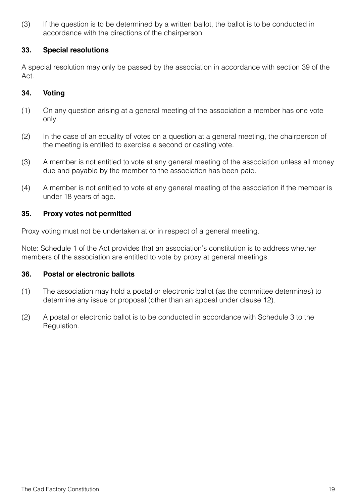(3) If the question is to be determined by a written ballot, the ballot is to be conducted in accordance with the directions of the chairperson.

#### **33. Special resolutions**

A special resolution may only be passed by the association in accordance with section 39 of the Act.

#### **34. Voting**

- (1) On any question arising at a general meeting of the association a member has one vote only.
- (2) In the case of an equality of votes on a question at a general meeting, the chairperson of the meeting is entitled to exercise a second or casting vote.
- (3) A member is not entitled to vote at any general meeting of the association unless all money due and payable by the member to the association has been paid.
- (4) A member is not entitled to vote at any general meeting of the association if the member is under 18 years of age.

#### **35. Proxy votes not permitted**

Proxy voting must not be undertaken at or in respect of a general meeting.

Note: Schedule 1 of the Act provides that an association's constitution is to address whether members of the association are entitled to vote by proxy at general meetings.

#### **36. Postal or electronic ballots**

- (1) The association may hold a postal or electronic ballot (as the committee determines) to determine any issue or proposal (other than an appeal under clause 12).
- (2) A postal or electronic ballot is to be conducted in accordance with Schedule 3 to the Regulation.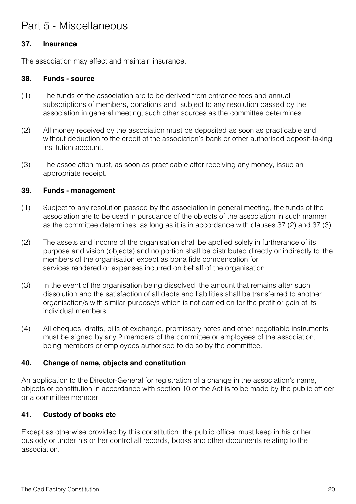## Part 5 - Miscellaneous

#### **37. Insurance**

The association may effect and maintain insurance.

#### **38. Funds - source**

- (1) The funds of the association are to be derived from entrance fees and annual subscriptions of members, donations and, subject to any resolution passed by the association in general meeting, such other sources as the committee determines.
- (2) All money received by the association must be deposited as soon as practicable and without deduction to the credit of the association's bank or other authorised deposit-taking institution account.
- (3) The association must, as soon as practicable after receiving any money, issue an appropriate receipt.

#### **39. Funds - management**

- (1) Subject to any resolution passed by the association in general meeting, the funds of the association are to be used in pursuance of the objects of the association in such manner as the committee determines, as long as it is in accordance with clauses 37 (2) and 37 (3).
- (2) The assets and income of the organisation shall be applied solely in furtherance of its purpose and vision (objects) and no portion shall be distributed directly or indirectly to the members of the organisation except as bona fide compensation for services rendered or expenses incurred on behalf of the organisation.
- (3) In the event of the organisation being dissolved, the amount that remains after such dissolution and the satisfaction of all debts and liabilities shall be transferred to another organisation/s with similar purpose/s which is not carried on for the profit or gain of its individual members.
- (4) All cheques, drafts, bills of exchange, promissory notes and other negotiable instruments must be signed by any 2 members of the committee or employees of the association, being members or employees authorised to do so by the committee.

#### **40. Change of name, objects and constitution**

An application to the Director-General for registration of a change in the association's name, objects or constitution in accordance with section 10 of the Act is to be made by the public officer or a committee member.

#### **41. Custody of books etc**

Except as otherwise provided by this constitution, the public officer must keep in his or her custody or under his or her control all records, books and other documents relating to the association.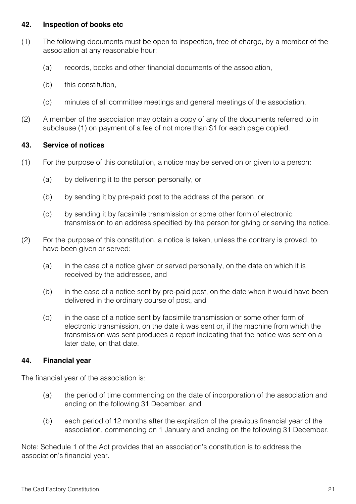#### **42. Inspection of books etc**

- (1) The following documents must be open to inspection, free of charge, by a member of the association at any reasonable hour:
	- (a) records, books and other financial documents of the association,
	- (b) this constitution,
	- (c) minutes of all committee meetings and general meetings of the association.
- (2) A member of the association may obtain a copy of any of the documents referred to in subclause (1) on payment of a fee of not more than \$1 for each page copied.

#### **43. Service of notices**

- (1) For the purpose of this constitution, a notice may be served on or given to a person:
	- (a) by delivering it to the person personally, or
	- (b) by sending it by pre-paid post to the address of the person, or
	- (c) by sending it by facsimile transmission or some other form of electronic transmission to an address specified by the person for giving or serving the notice.
- (2) For the purpose of this constitution, a notice is taken, unless the contrary is proved, to have been given or served:
	- (a) in the case of a notice given or served personally, on the date on which it is received by the addressee, and
	- (b) in the case of a notice sent by pre-paid post, on the date when it would have been delivered in the ordinary course of post, and
	- (c) in the case of a notice sent by facsimile transmission or some other form of electronic transmission, on the date it was sent or, if the machine from which the transmission was sent produces a report indicating that the notice was sent on a later date, on that date.

#### **44. Financial year**

The financial year of the association is:

- (a) the period of time commencing on the date of incorporation of the association and ending on the following 31 December, and
- (b) each period of 12 months after the expiration of the previous financial year of the association, commencing on 1 January and ending on the following 31 December.

Note: Schedule 1 of the Act provides that an association's constitution is to address the association's financial year.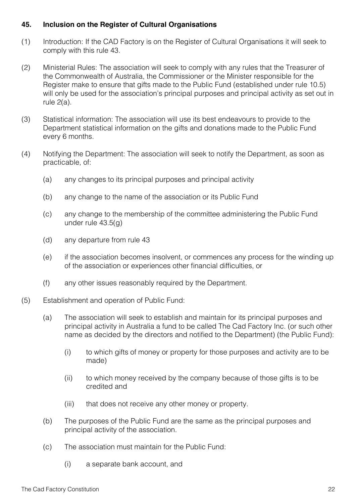#### **45. Inclusion on the Register of Cultural Organisations**

- (1) Introduction: If the CAD Factory is on the Register of Cultural Organisations it will seek to comply with this rule 43.
- (2) Ministerial Rules: The association will seek to comply with any rules that the Treasurer of the Commonwealth of Australia, the Commissioner or the Minister responsible for the Register make to ensure that gifts made to the Public Fund (established under rule 10.5) will only be used for the association's principal purposes and principal activity as set out in rule 2(a).
- (3) Statistical information: The association will use its best endeavours to provide to the Department statistical information on the gifts and donations made to the Public Fund every 6 months.
- (4) Notifying the Department: The association will seek to notify the Department, as soon as practicable, of:
	- (a) any changes to its principal purposes and principal activity
	- (b) any change to the name of the association or its Public Fund
	- (c) any change to the membership of the committee administering the Public Fund under rule 43.5(g)
	- (d) any departure from rule 43
	- (e) if the association becomes insolvent, or commences any process for the winding up of the association or experiences other financial difficulties, or
	- (f) any other issues reasonably required by the Department.
- (5) Establishment and operation of Public Fund:
	- (a) The association will seek to establish and maintain for its principal purposes and principal activity in Australia a fund to be called The Cad Factory Inc. (or such other name as decided by the directors and notified to the Department) (the Public Fund):
		- (i) to which gifts of money or property for those purposes and activity are to be made)
		- (ii) to which money received by the company because of those gifts is to be credited and
		- (iii) that does not receive any other money or property.
	- (b) The purposes of the Public Fund are the same as the principal purposes and principal activity of the association.
	- (c) The association must maintain for the Public Fund:
		- (i) a separate bank account, and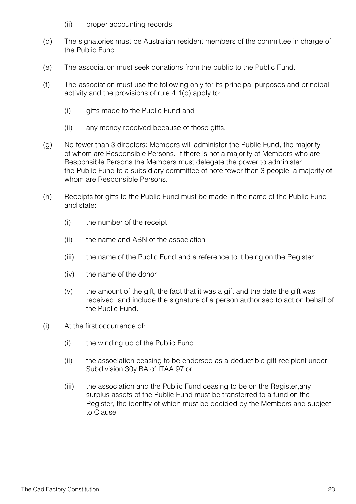- (ii) proper accounting records.
- (d) The signatories must be Australian resident members of the committee in charge of the Public Fund.
- (e) The association must seek donations from the public to the Public Fund.
- (f) The association must use the following only for its principal purposes and principal activity and the provisions of rule 4.1(b) apply to:
	- (i) gifts made to the Public Fund and
	- (ii) any money received because of those gifts.
- (g) No fewer than 3 directors: Members will administer the Public Fund, the majority of whom are Responsible Persons. If there is not a majority of Members who are Responsible Persons the Members must delegate the power to administer the Public Fund to a subsidiary committee of note fewer than 3 people, a majority of whom are Responsible Persons.
- (h) Receipts for gifts to the Public Fund must be made in the name of the Public Fund and state:
	- (i) the number of the receipt
	- (ii) the name and ABN of the association
	- (iii) the name of the Public Fund and a reference to it being on the Register
	- (iv) the name of the donor
	- $(v)$  the amount of the gift, the fact that it was a gift and the date the gift was received, and include the signature of a person authorised to act on behalf of the Public Fund.
- (i) At the first occurrence of:
	- (i) the winding up of the Public Fund
	- (ii) the association ceasing to be endorsed as a deductible gift recipient under Subdivision 30y BA of ITAA 97 or
	- (iii) the association and the Public Fund ceasing to be on the Register,any surplus assets of the Public Fund must be transferred to a fund on the Register, the identity of which must be decided by the Members and subject to Clause